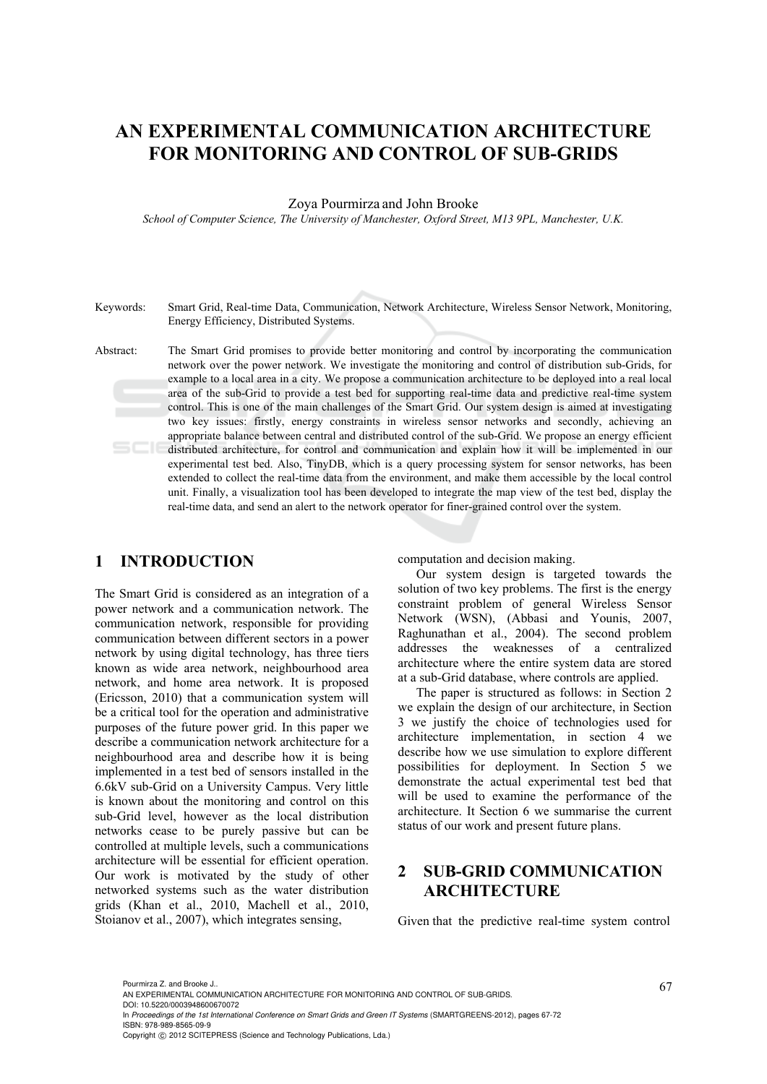# **AN EXPERIMENTAL COMMUNICATION ARCHITECTURE FOR MONITORING AND CONTROL OF SUB-GRIDS**

#### Zoya Pourmirza and John Brooke

*School of Computer Science, The University of Manchester, Oxford Street, M13 9PL, Manchester, U.K.* 

Keywords: Smart Grid, Real-time Data, Communication, Network Architecture, Wireless Sensor Network, Monitoring, Energy Efficiency, Distributed Systems.

Abstract: The Smart Grid promises to provide better monitoring and control by incorporating the communication network over the power network. We investigate the monitoring and control of distribution sub-Grids, for example to a local area in a city. We propose a communication architecture to be deployed into a real local area of the sub-Grid to provide a test bed for supporting real-time data and predictive real-time system control. This is one of the main challenges of the Smart Grid. Our system design is aimed at investigating two key issues: firstly, energy constraints in wireless sensor networks and secondly, achieving an appropriate balance between central and distributed control of the sub-Grid. We propose an energy efficient distributed architecture, for control and communication and explain how it will be implemented in our experimental test bed. Also, TinyDB, which is a query processing system for sensor networks, has been extended to collect the real-time data from the environment, and make them accessible by the local control unit. Finally, a visualization tool has been developed to integrate the map view of the test bed, display the real-time data, and send an alert to the network operator for finer-grained control over the system.

### **1 INTRODUCTION**

The Smart Grid is considered as an integration of a power network and a communication network. The communication network, responsible for providing communication between different sectors in a power network by using digital technology, has three tiers known as wide area network, neighbourhood area network, and home area network. It is proposed (Ericsson, 2010) that a communication system will be a critical tool for the operation and administrative purposes of the future power grid. In this paper we describe a communication network architecture for a neighbourhood area and describe how it is being implemented in a test bed of sensors installed in the 6.6kV sub-Grid on a University Campus. Very little is known about the monitoring and control on this sub-Grid level, however as the local distribution networks cease to be purely passive but can be controlled at multiple levels, such a communications architecture will be essential for efficient operation. Our work is motivated by the study of other networked systems such as the water distribution grids (Khan et al., 2010, Machell et al., 2010, Stoianov et al., 2007), which integrates sensing,

computation and decision making.

Our system design is targeted towards the solution of two key problems. The first is the energy constraint problem of general Wireless Sensor Network (WSN), (Abbasi and Younis, 2007, Raghunathan et al., 2004). The second problem addresses the weaknesses of a centralized architecture where the entire system data are stored at a sub-Grid database, where controls are applied.

The paper is structured as follows: in Section 2 we explain the design of our architecture, in Section 3 we justify the choice of technologies used for architecture implementation, in section 4 we describe how we use simulation to explore different possibilities for deployment. In Section 5 we demonstrate the actual experimental test bed that will be used to examine the performance of the architecture. It Section 6 we summarise the current status of our work and present future plans.

## **2 SUB-GRID COMMUNICATION ARCHITECTURE**

Given that the predictive real-time system control

<sup>67</sup> Pourmirza Z. and Brooke J.. AN EXPERIMENTAL COMMUNICATION ARCHITECTURE FOR MONITORING AND CONTROL OF SUB-GRIDS.

DOI: 10.5220/0003948600670072

In *Proceedings of the 1st International Conference on Smart Grids and Green IT Systems* (SMARTGREENS-2012), pages 67-72 ISBN: 978-989-8565-09-9

Copyright © 2012 SCITEPRESS (Science and Technology Publications, Lda.)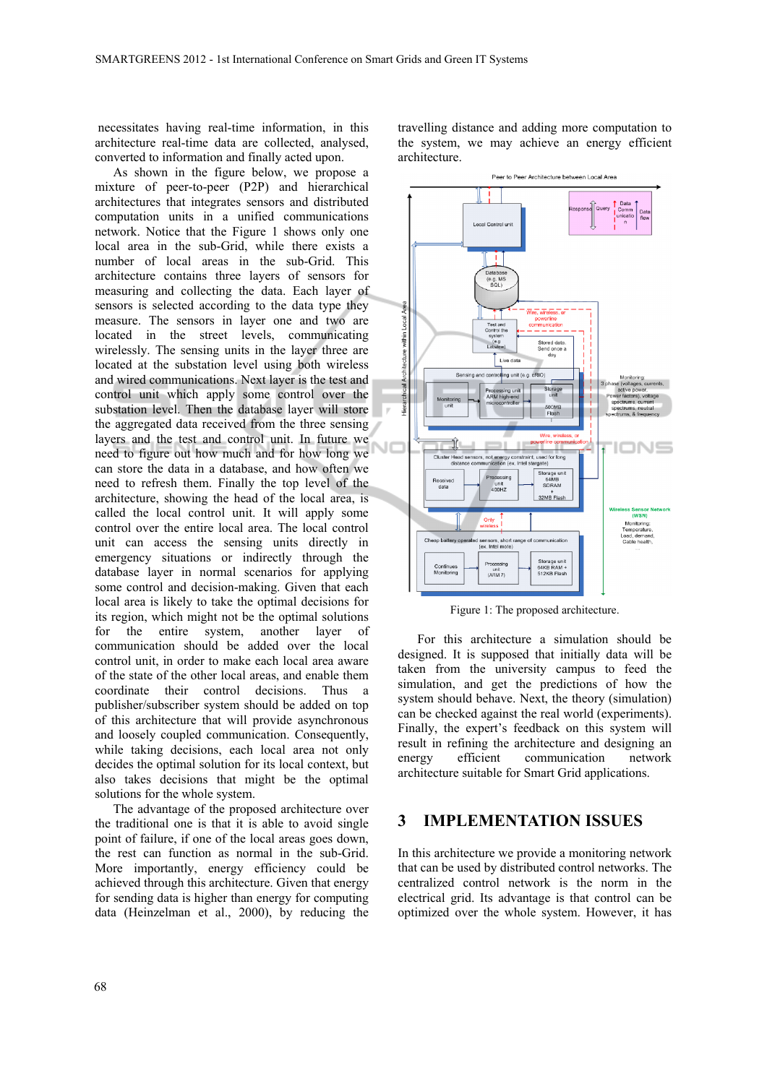necessitates having real-time information, in this architecture real-time data are collected, analysed, converted to information and finally acted upon.

As shown in the figure below, we propose a mixture of peer-to-peer (P2P) and hierarchical architectures that integrates sensors and distributed computation units in a unified communications network. Notice that the Figure 1 shows only one local area in the sub-Grid, while there exists a number of local areas in the sub-Grid. This architecture contains three layers of sensors for measuring and collecting the data. Each layer of sensors is selected according to the data type they measure. The sensors in layer one and two are located in the street levels, communicating wirelessly. The sensing units in the layer three are located at the substation level using both wireless and wired communications. Next layer is the test and control unit which apply some control over the substation level. Then the database layer will store the aggregated data received from the three sensing layers and the test and control unit. In future we need to figure out how much and for how long we can store the data in a database, and how often we need to refresh them. Finally the top level of the architecture, showing the head of the local area, is called the local control unit. It will apply some control over the entire local area. The local control unit can access the sensing units directly in emergency situations or indirectly through the database layer in normal scenarios for applying some control and decision-making. Given that each local area is likely to take the optimal decisions for its region, which might not be the optimal solutions for the entire system, another layer of communication should be added over the local control unit, in order to make each local area aware of the state of the other local areas, and enable them coordinate their control decisions. Thus a publisher/subscriber system should be added on top of this architecture that will provide asynchronous and loosely coupled communication. Consequently, while taking decisions, each local area not only decides the optimal solution for its local context, but also takes decisions that might be the optimal solutions for the whole system.

The advantage of the proposed architecture over the traditional one is that it is able to avoid single point of failure, if one of the local areas goes down, the rest can function as normal in the sub-Grid. More importantly, energy efficiency could be achieved through this architecture. Given that energy for sending data is higher than energy for computing data (Heinzelman et al., 2000), by reducing the

travelling distance and adding more computation to the system, we may achieve an energy efficient architecture.



Figure 1: The proposed architecture.

For this architecture a simulation should be designed. It is supposed that initially data will be taken from the university campus to feed the simulation, and get the predictions of how the system should behave. Next, the theory (simulation) can be checked against the real world (experiments). Finally, the expert's feedback on this system will result in refining the architecture and designing an energy efficient communication network architecture suitable for Smart Grid applications.

#### **3 IMPLEMENTATION ISSUES**

In this architecture we provide a monitoring network that can be used by distributed control networks. The centralized control network is the norm in the electrical grid. Its advantage is that control can be optimized over the whole system. However, it has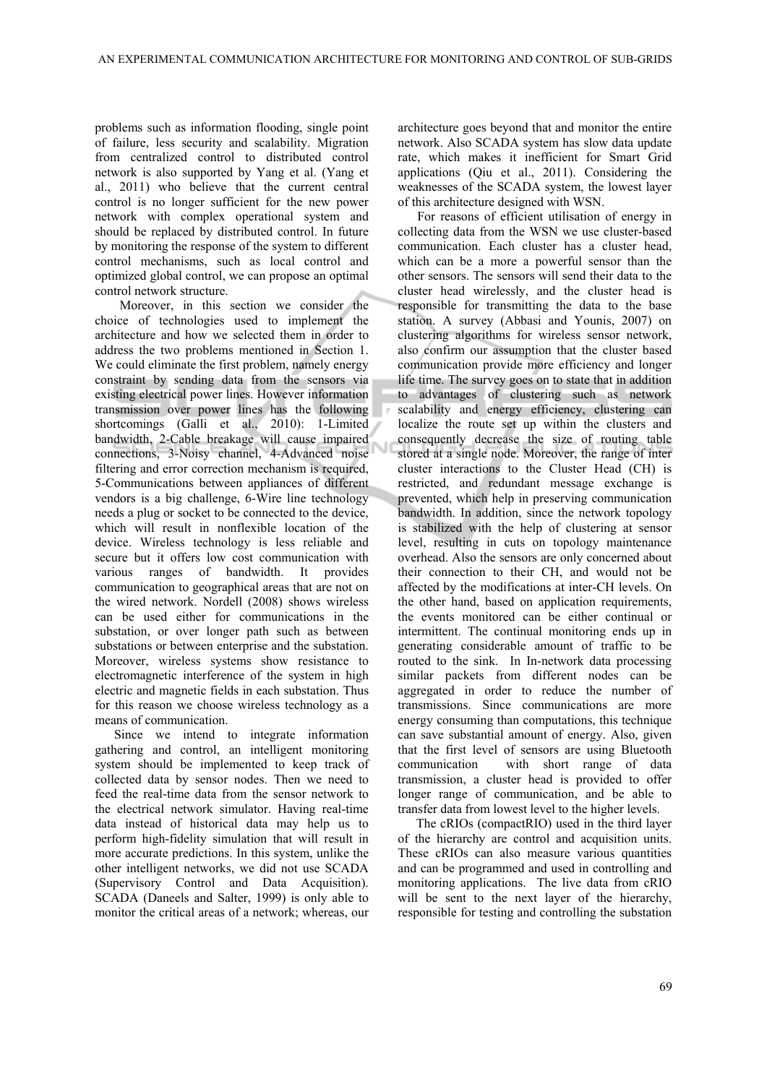problems such as information flooding, single point of failure, less security and scalability. Migration from centralized control to distributed control network is also supported by Yang et al. (Yang et al., 2011) who believe that the current central control is no longer sufficient for the new power network with complex operational system and should be replaced by distributed control. In future by monitoring the response of the system to different control mechanisms, such as local control and optimized global control, we can propose an optimal control network structure.

 Moreover, in this section we consider the choice of technologies used to implement the architecture and how we selected them in order to address the two problems mentioned in Section 1. We could eliminate the first problem, namely energy constraint by sending data from the sensors via existing electrical power lines. However information transmission over power lines has the following shortcomings (Galli et al., 2010): 1-Limited bandwidth, 2-Cable breakage will cause impaired connections, 3-Noisy channel, 4-Advanced noise filtering and error correction mechanism is required, 5-Communications between appliances of different vendors is a big challenge, 6-Wire line technology needs a plug or socket to be connected to the device, which will result in nonflexible location of the device. Wireless technology is less reliable and secure but it offers low cost communication with various ranges of bandwidth. It provides communication to geographical areas that are not on the wired network. Nordell (2008) shows wireless can be used either for communications in the substation, or over longer path such as between substations or between enterprise and the substation. Moreover, wireless systems show resistance to electromagnetic interference of the system in high electric and magnetic fields in each substation. Thus for this reason we choose wireless technology as a means of communication.

Since we intend to integrate information gathering and control, an intelligent monitoring system should be implemented to keep track of collected data by sensor nodes. Then we need to feed the real-time data from the sensor network to the electrical network simulator. Having real-time data instead of historical data may help us to perform high-fidelity simulation that will result in more accurate predictions. In this system, unlike the other intelligent networks, we did not use SCADA (Supervisory Control and Data Acquisition). SCADA (Daneels and Salter, 1999) is only able to monitor the critical areas of a network; whereas, our

architecture goes beyond that and monitor the entire network. Also SCADA system has slow data update rate, which makes it inefficient for Smart Grid applications (Qiu et al., 2011). Considering the weaknesses of the SCADA system, the lowest layer of this architecture designed with WSN.

For reasons of efficient utilisation of energy in collecting data from the WSN we use cluster-based communication. Each cluster has a cluster head, which can be a more a powerful sensor than the other sensors. The sensors will send their data to the cluster head wirelessly, and the cluster head is responsible for transmitting the data to the base station. A survey (Abbasi and Younis, 2007) on clustering algorithms for wireless sensor network, also confirm our assumption that the cluster based communication provide more efficiency and longer life time. The survey goes on to state that in addition to advantages of clustering such as network scalability and energy efficiency, clustering can localize the route set up within the clusters and consequently decrease the size of routing table stored at a single node. Moreover, the range of inter cluster interactions to the Cluster Head (CH) is restricted, and redundant message exchange is prevented, which help in preserving communication bandwidth. In addition, since the network topology is stabilized with the help of clustering at sensor level, resulting in cuts on topology maintenance overhead. Also the sensors are only concerned about their connection to their CH, and would not be affected by the modifications at inter-CH levels. On the other hand, based on application requirements, the events monitored can be either continual or intermittent. The continual monitoring ends up in generating considerable amount of traffic to be routed to the sink. In In-network data processing similar packets from different nodes can be aggregated in order to reduce the number of transmissions. Since communications are more energy consuming than computations, this technique can save substantial amount of energy. Also, given that the first level of sensors are using Bluetooth communication with short range of data transmission, a cluster head is provided to offer longer range of communication, and be able to transfer data from lowest level to the higher levels.

The cRIOs (compactRIO) used in the third layer of the hierarchy are control and acquisition units. These cRIOs can also measure various quantities and can be programmed and used in controlling and monitoring applications. The live data from cRIO will be sent to the next layer of the hierarchy, responsible for testing and controlling the substation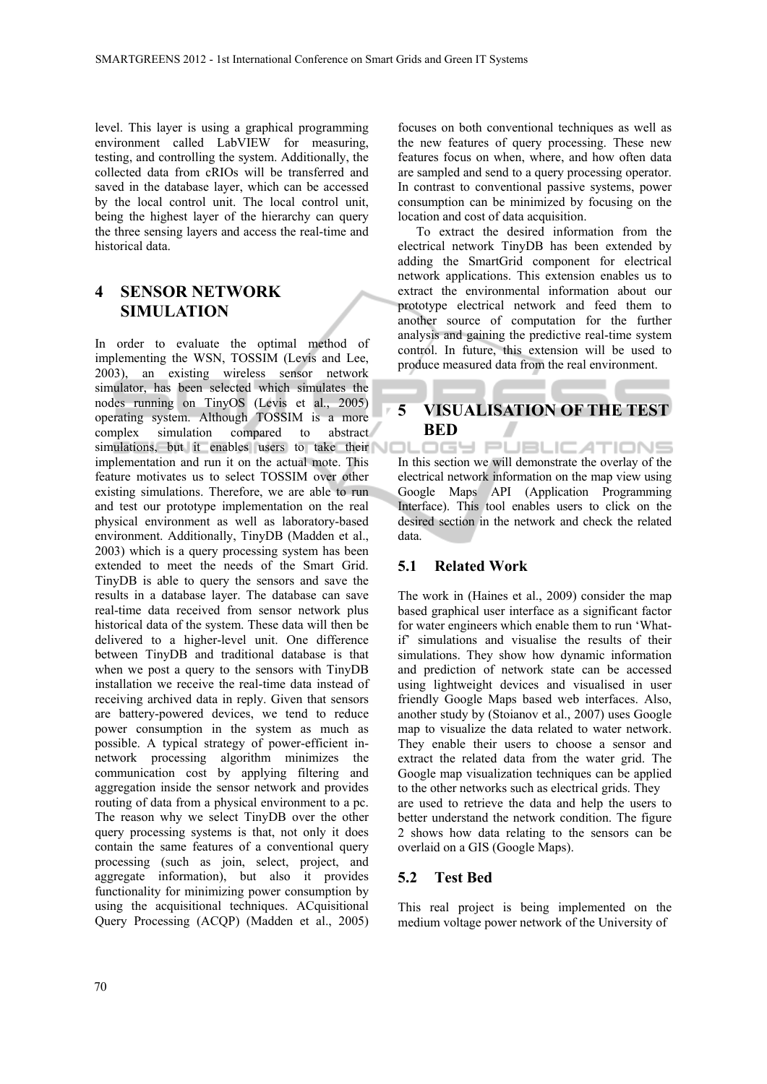level. This layer is using a graphical programming environment called LabVIEW for measuring, testing, and controlling the system. Additionally, the collected data from cRIOs will be transferred and saved in the database layer, which can be accessed by the local control unit. The local control unit, being the highest layer of the hierarchy can query the three sensing layers and access the real-time and historical data.

### **4 SENSOR NETWORK SIMULATION**

In order to evaluate the optimal method of implementing the WSN, TOSSIM (Levis and Lee, 2003), an existing wireless sensor network simulator, has been selected which simulates the nodes running on TinyOS (Levis et al., 2005) operating system. Although TOSSIM is a more complex simulation compared to abstract simulations, but it enables users to take their implementation and run it on the actual mote. This feature motivates us to select TOSSIM over other existing simulations. Therefore, we are able to run and test our prototype implementation on the real physical environment as well as laboratory-based environment. Additionally, TinyDB (Madden et al., 2003) which is a query processing system has been extended to meet the needs of the Smart Grid. TinyDB is able to query the sensors and save the results in a database layer. The database can save real-time data received from sensor network plus historical data of the system. These data will then be delivered to a higher-level unit. One difference between TinyDB and traditional database is that when we post a query to the sensors with TinyDB installation we receive the real-time data instead of receiving archived data in reply. Given that sensors are battery-powered devices, we tend to reduce power consumption in the system as much as possible. A typical strategy of power-efficient innetwork processing algorithm minimizes the communication cost by applying filtering and aggregation inside the sensor network and provides routing of data from a physical environment to a pc. The reason why we select TinyDB over the other query processing systems is that, not only it does contain the same features of a conventional query processing (such as join, select, project, and aggregate information), but also it provides functionality for minimizing power consumption by using the acquisitional techniques. ACquisitional Query Processing (ACQP) (Madden et al., 2005)

focuses on both conventional techniques as well as the new features of query processing. These new features focus on when, where, and how often data are sampled and send to a query processing operator. In contrast to conventional passive systems, power consumption can be minimized by focusing on the location and cost of data acquisition.

To extract the desired information from the electrical network TinyDB has been extended by adding the SmartGrid component for electrical network applications. This extension enables us to extract the environmental information about our prototype electrical network and feed them to another source of computation for the further analysis and gaining the predictive real-time system control. In future, this extension will be used to produce measured data from the real environment.

### **5 VISUALISATION OF THE TEST BED**

In this section we will demonstrate the overlay of the electrical network information on the map view using Google Maps API (Application Programming Interface). This tool enables users to click on the desired section in the network and check the related data.

#### **5.1 Related Work**

The work in (Haines et al., 2009) consider the map based graphical user interface as a significant factor for water engineers which enable them to run 'Whatif' simulations and visualise the results of their simulations. They show how dynamic information and prediction of network state can be accessed using lightweight devices and visualised in user friendly Google Maps based web interfaces. Also, another study by (Stoianov et al., 2007) uses Google map to visualize the data related to water network. They enable their users to choose a sensor and extract the related data from the water grid. The Google map visualization techniques can be applied to the other networks such as electrical grids. They are used to retrieve the data and help the users to better understand the network condition. The figure 2 shows how data relating to the sensors can be overlaid on a GIS (Google Maps).

#### **5.2 Test Bed**

This real project is being implemented on the medium voltage power network of the University of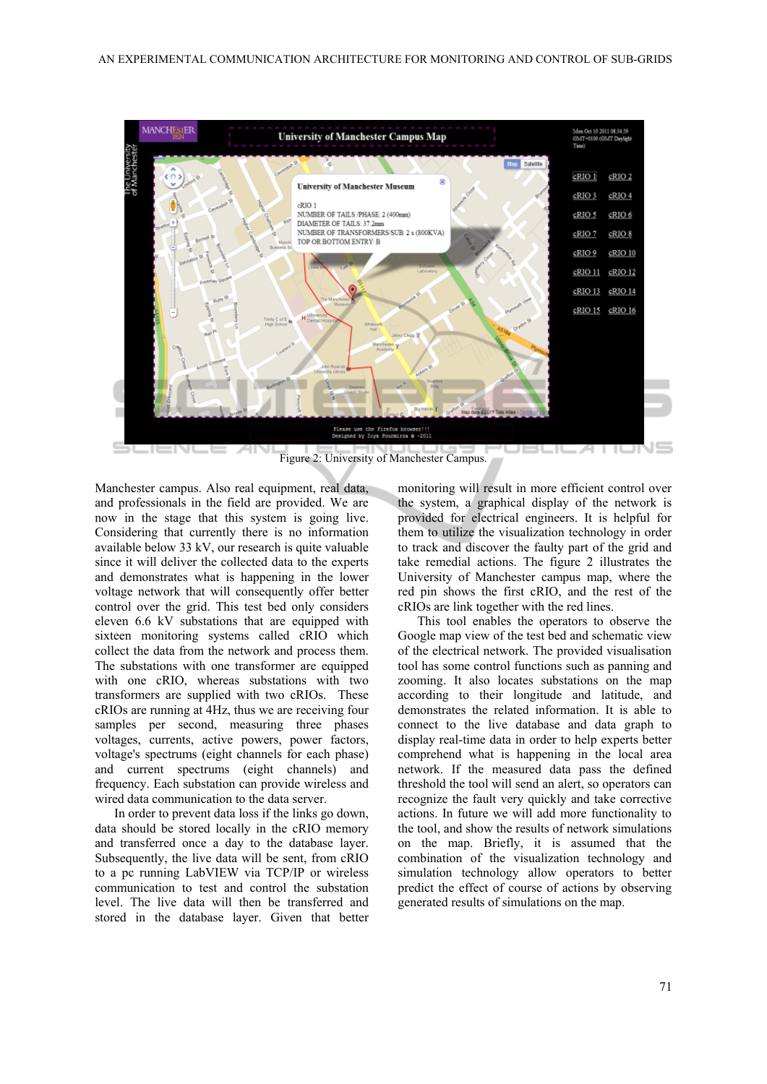

Figure 2: University of Manchester Campus.

Manchester campus. Also real equipment, real data, and professionals in the field are provided. We are now in the stage that this system is going live. Considering that currently there is no information available below 33 kV, our research is quite valuable since it will deliver the collected data to the experts and demonstrates what is happening in the lower voltage network that will consequently offer better control over the grid. This test bed only considers eleven 6.6 kV substations that are equipped with sixteen monitoring systems called cRIO which collect the data from the network and process them. The substations with one transformer are equipped with one cRIO, whereas substations with two transformers are supplied with two cRIOs. These cRIOs are running at 4Hz, thus we are receiving four samples per second, measuring three phases voltages, currents, active powers, power factors, voltage's spectrums (eight channels for each phase) and current spectrums (eight channels) and frequency. Each substation can provide wireless and wired data communication to the data server.

In order to prevent data loss if the links go down, data should be stored locally in the cRIO memory and transferred once a day to the database layer. Subsequently, the live data will be sent, from cRIO to a pc running LabVIEW via TCP/IP or wireless communication to test and control the substation level. The live data will then be transferred and stored in the database layer. Given that better monitoring will result in more efficient control over the system, a graphical display of the network is provided for electrical engineers. It is helpful for them to utilize the visualization technology in order to track and discover the faulty part of the grid and take remedial actions. The figure 2 illustrates the University of Manchester campus map, where the red pin shows the first cRIO, and the rest of the cRIOs are link together with the red lines.

This tool enables the operators to observe the Google map view of the test bed and schematic view of the electrical network. The provided visualisation tool has some control functions such as panning and zooming. It also locates substations on the map according to their longitude and latitude, and demonstrates the related information. It is able to connect to the live database and data graph to display real-time data in order to help experts better comprehend what is happening in the local area network. If the measured data pass the defined threshold the tool will send an alert, so operators can recognize the fault very quickly and take corrective actions. In future we will add more functionality to the tool, and show the results of network simulations on the map. Briefly, it is assumed that the combination of the visualization technology and simulation technology allow operators to better predict the effect of course of actions by observing generated results of simulations on the map.